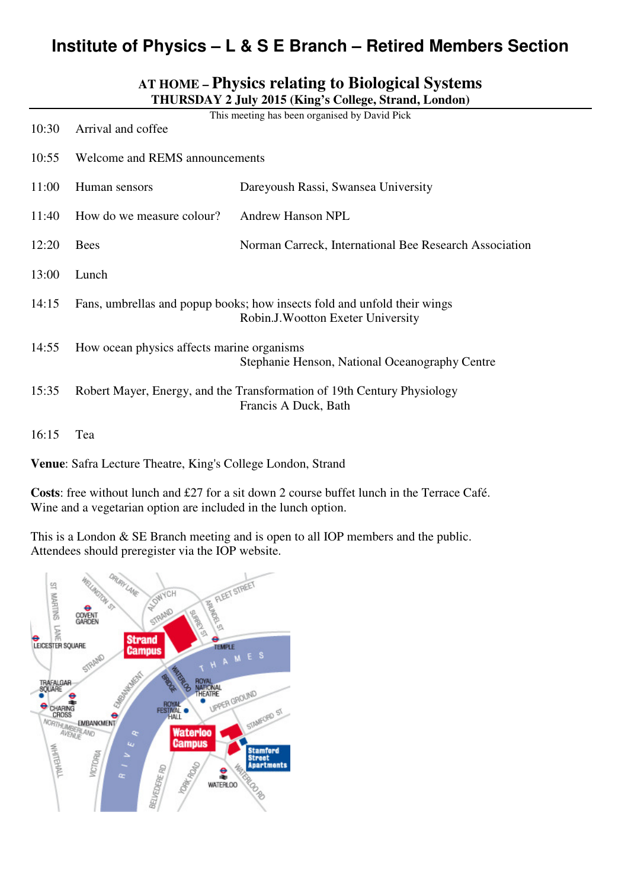# **Institute of Physics – L & S E Branch – Retired Members Section**

# **AT HOME – Physics relating to Biological Systems THURSDAY 2 July 2015 (King's College, Strand, London)**

| 10:30 | This meeting has been organised by David Pick<br>Arrival and coffee                                            |                                                                                                 |
|-------|----------------------------------------------------------------------------------------------------------------|-------------------------------------------------------------------------------------------------|
| 10:55 | Welcome and REMS announcements                                                                                 |                                                                                                 |
| 11:00 | Human sensors                                                                                                  | Dareyoush Rassi, Swansea University                                                             |
| 11:40 | How do we measure colour?                                                                                      | Andrew Hanson NPL                                                                               |
| 12:20 | <b>Bees</b>                                                                                                    | Norman Carreck, International Bee Research Association                                          |
| 13:00 | Lunch                                                                                                          |                                                                                                 |
| 14:15 | Fans, umbrellas and popup books; how insects fold and unfold their wings<br>Robin.J. Wootton Exeter University |                                                                                                 |
| 14:55 | How ocean physics affects marine organisms<br>Stephanie Henson, National Oceanography Centre                   |                                                                                                 |
| 15:35 |                                                                                                                | Robert Mayer, Energy, and the Transformation of 19th Century Physiology<br>Francis A Duck, Bath |
| 16:15 | Tea                                                                                                            |                                                                                                 |

**Venue**: Safra Lecture Theatre, King's College London, Strand

**Costs**: free without lunch and £27 for a sit down 2 course buffet lunch in the Terrace Café. Wine and a vegetarian option are included in the lunch option.

This is a London & SE Branch meeting and is open to all IOP members and the public. Attendees should preregister via the IOP website.

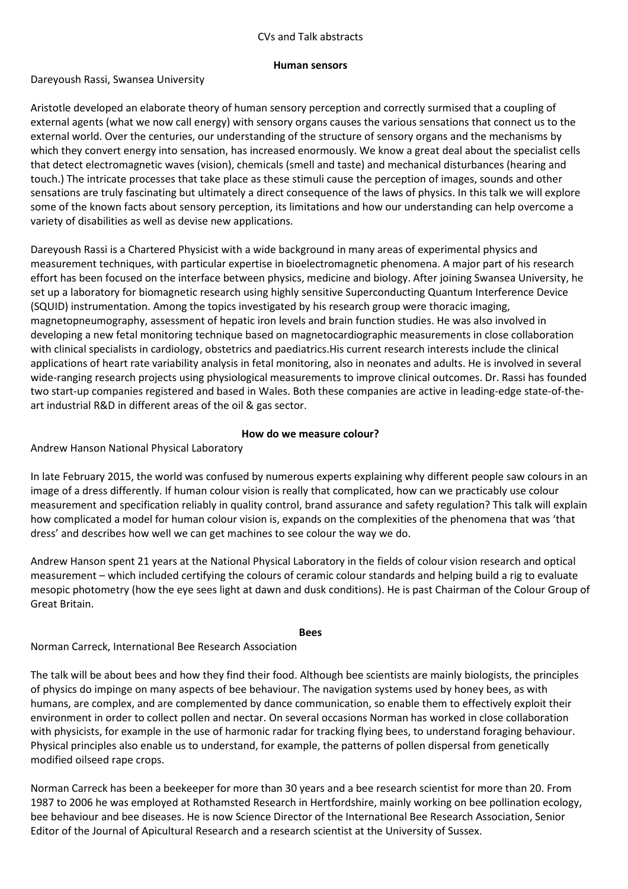### CVs and Talk abstracts

#### Human sensors

#### Dareyoush Rassi, Swansea University

Aristotle developed an elaborate theory of human sensory perception and correctly surmised that a coupling of external agents (what we now call energy) with sensory organs causes the various sensations that connect us to the external world. Over the centuries, our understanding of the structure of sensory organs and the mechanisms by which they convert energy into sensation, has increased enormously. We know a great deal about the specialist cells that detect electromagnetic waves (vision), chemicals (smell and taste) and mechanical disturbances (hearing and touch.) The intricate processes that take place as these stimuli cause the perception of images, sounds and other sensations are truly fascinating but ultimately a direct consequence of the laws of physics. In this talk we will explore some of the known facts about sensory perception, its limitations and how our understanding can help overcome a variety of disabilities as well as devise new applications.

Dareyoush Rassi is a Chartered Physicist with a wide background in many areas of experimental physics and measurement techniques, with particular expertise in bioelectromagnetic phenomena. A major part of his research effort has been focused on the interface between physics, medicine and biology. After joining Swansea University, he set up a laboratory for biomagnetic research using highly sensitive Superconducting Quantum Interference Device (SQUID) instrumentation. Among the topics investigated by his research group were thoracic imaging, magnetopneumography, assessment of hepatic iron levels and brain function studies. He was also involved in developing a new fetal monitoring technique based on magnetocardiographic measurements in close collaboration with clinical specialists in cardiology, obstetrics and paediatrics.His current research interests include the clinical applications of heart rate variability analysis in fetal monitoring, also in neonates and adults. He is involved in several wide-ranging research projects using physiological measurements to improve clinical outcomes. Dr. Rassi has founded two start-up companies registered and based in Wales. Both these companies are active in leading-edge state-of-theart industrial R&D in different areas of the oil & gas sector.

# How do we measure colour?

Andrew Hanson National Physical Laboratory

In late February 2015, the world was confused by numerous experts explaining why different people saw colours in an image of a dress differently. If human colour vision is really that complicated, how can we practicably use colour measurement and specification reliably in quality control, brand assurance and safety regulation? This talk will explain how complicated a model for human colour vision is, expands on the complexities of the phenomena that was 'that dress' and describes how well we can get machines to see colour the way we do.

Andrew Hanson spent 21 years at the National Physical Laboratory in the fields of colour vision research and optical measurement – which included certifying the colours of ceramic colour standards and helping build a rig to evaluate mesopic photometry (how the eye sees light at dawn and dusk conditions). He is past Chairman of the Colour Group of Great Britain.

#### Bees

Norman Carreck, International Bee Research Association

The talk will be about bees and how they find their food. Although bee scientists are mainly biologists, the principles of physics do impinge on many aspects of bee behaviour. The navigation systems used by honey bees, as with humans, are complex, and are complemented by dance communication, so enable them to effectively exploit their environment in order to collect pollen and nectar. On several occasions Norman has worked in close collaboration with physicists, for example in the use of harmonic radar for tracking flying bees, to understand foraging behaviour. Physical principles also enable us to understand, for example, the patterns of pollen dispersal from genetically modified oilseed rape crops.

Norman Carreck has been a beekeeper for more than 30 years and a bee research scientist for more than 20. From 1987 to 2006 he was employed at Rothamsted Research in Hertfordshire, mainly working on bee pollination ecology, bee behaviour and bee diseases. He is now Science Director of the International Bee Research Association, Senior Editor of the Journal of Apicultural Research and a research scientist at the University of Sussex.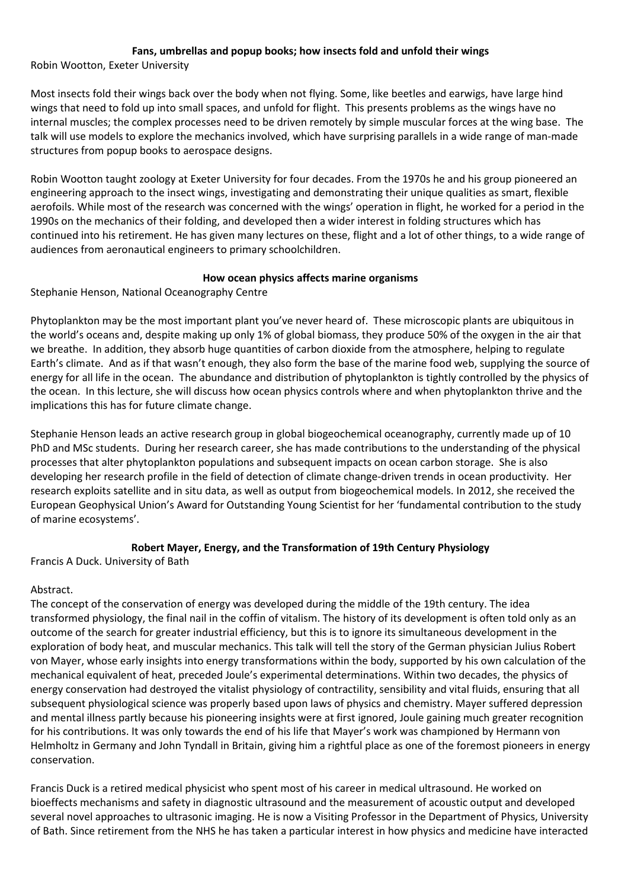# Fans, umbrellas and popup books; how insects fold and unfold their wings

Robin Wootton, Exeter University

Most insects fold their wings back over the body when not flying. Some, like beetles and earwigs, have large hind wings that need to fold up into small spaces, and unfold for flight. This presents problems as the wings have no internal muscles; the complex processes need to be driven remotely by simple muscular forces at the wing base. The talk will use models to explore the mechanics involved, which have surprising parallels in a wide range of man-made structures from popup books to aerospace designs.

Robin Wootton taught zoology at Exeter University for four decades. From the 1970s he and his group pioneered an engineering approach to the insect wings, investigating and demonstrating their unique qualities as smart, flexible aerofoils. While most of the research was concerned with the wings' operation in flight, he worked for a period in the 1990s on the mechanics of their folding, and developed then a wider interest in folding structures which has continued into his retirement. He has given many lectures on these, flight and a lot of other things, to a wide range of audiences from aeronautical engineers to primary schoolchildren.

# How ocean physics affects marine organisms

Stephanie Henson, National Oceanography Centre

Phytoplankton may be the most important plant you've never heard of. These microscopic plants are ubiquitous in the world's oceans and, despite making up only 1% of global biomass, they produce 50% of the oxygen in the air that we breathe. In addition, they absorb huge quantities of carbon dioxide from the atmosphere, helping to regulate Earth's climate. And as if that wasn't enough, they also form the base of the marine food web, supplying the source of energy for all life in the ocean. The abundance and distribution of phytoplankton is tightly controlled by the physics of the ocean. In this lecture, she will discuss how ocean physics controls where and when phytoplankton thrive and the implications this has for future climate change.

Stephanie Henson leads an active research group in global biogeochemical oceanography, currently made up of 10 PhD and MSc students. During her research career, she has made contributions to the understanding of the physical processes that alter phytoplankton populations and subsequent impacts on ocean carbon storage. She is also developing her research profile in the field of detection of climate change-driven trends in ocean productivity. Her research exploits satellite and in situ data, as well as output from biogeochemical models. In 2012, she received the European Geophysical Union's Award for Outstanding Young Scientist for her 'fundamental contribution to the study of marine ecosystems'.

# Robert Mayer, Energy, and the Transformation of 19th Century Physiology

Francis A Duck. University of Bath

# Abstract.

The concept of the conservation of energy was developed during the middle of the 19th century. The idea transformed physiology, the final nail in the coffin of vitalism. The history of its development is often told only as an outcome of the search for greater industrial efficiency, but this is to ignore its simultaneous development in the exploration of body heat, and muscular mechanics. This talk will tell the story of the German physician Julius Robert von Mayer, whose early insights into energy transformations within the body, supported by his own calculation of the mechanical equivalent of heat, preceded Joule's experimental determinations. Within two decades, the physics of energy conservation had destroyed the vitalist physiology of contractility, sensibility and vital fluids, ensuring that all subsequent physiological science was properly based upon laws of physics and chemistry. Mayer suffered depression and mental illness partly because his pioneering insights were at first ignored, Joule gaining much greater recognition for his contributions. It was only towards the end of his life that Mayer's work was championed by Hermann von Helmholtz in Germany and John Tyndall in Britain, giving him a rightful place as one of the foremost pioneers in energy conservation.

Francis Duck is a retired medical physicist who spent most of his career in medical ultrasound. He worked on bioeffects mechanisms and safety in diagnostic ultrasound and the measurement of acoustic output and developed several novel approaches to ultrasonic imaging. He is now a Visiting Professor in the Department of Physics, University of Bath. Since retirement from the NHS he has taken a particular interest in how physics and medicine have interacted